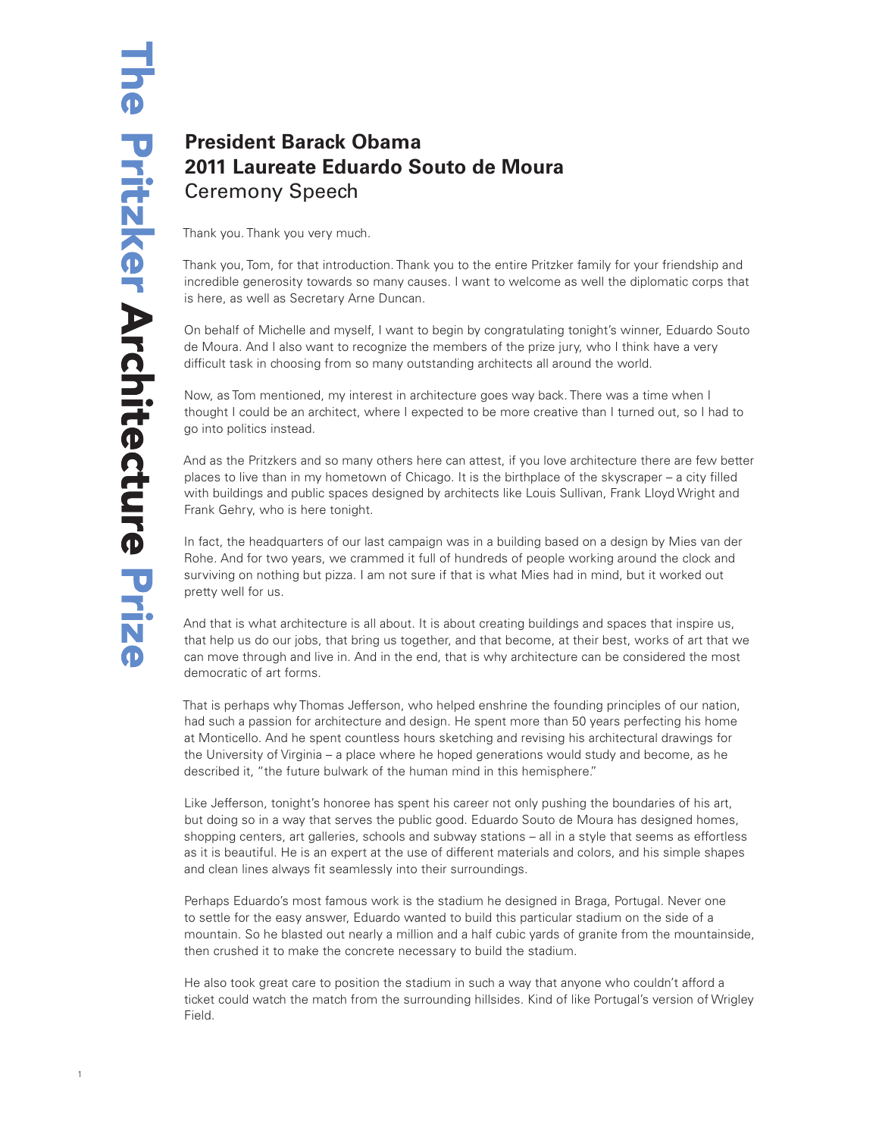## **President Barack Obama 2011 Laureate Eduardo Souto de Moura** Ceremony Speech

Thank you. Thank you very much.

Thank you, Tom, for that introduction. Thank you to the entire Pritzker family for your friendship and incredible generosity towards so many causes. I want to welcome as well the diplomatic corps that is here, as well as Secretary Arne Duncan.

On behalf of Michelle and myself, I want to begin by congratulating tonight's winner, Eduardo Souto de Moura. And I also want to recognize the members of the prize jury, who I think have a very difficult task in choosing from so many outstanding architects all around the world.

Now, as Tom mentioned, my interest in architecture goes way back. There was a time when I thought I could be an architect, where I expected to be more creative than I turned out, so I had to go into politics instead.

And as the Pritzkers and so many others here can attest, if you love architecture there are few better places to live than in my hometown of Chicago. It is the birthplace of the skyscraper – a city filled with buildings and public spaces designed by architects like Louis Sullivan, Frank Lloyd Wright and Frank Gehry, who is here tonight.

In fact, the headquarters of our last campaign was in a building based on a design by Mies van der Rohe. And for two years, we crammed it full of hundreds of people working around the clock and surviving on nothing but pizza. I am not sure if that is what Mies had in mind, but it worked out pretty well for us.

And that is what architecture is all about. It is about creating buildings and spaces that inspire us, that help us do our jobs, that bring us together, and that become, at their best, works of art that we can move through and live in. And in the end, that is why architecture can be considered the most democratic of art forms.

That is perhaps why Thomas Jefferson, who helped enshrine the founding principles of our nation, had such a passion for architecture and design. He spent more than 50 years perfecting his home at Monticello. And he spent countless hours sketching and revising his architectural drawings for the University of Virginia – a place where he hoped generations would study and become, as he described it, "the future bulwark of the human mind in this hemisphere."

Like Jefferson, tonight's honoree has spent his career not only pushing the boundaries of his art, but doing so in a way that serves the public good. Eduardo Souto de Moura has designed homes, shopping centers, art galleries, schools and subway stations – all in a style that seems as effortless as it is beautiful. He is an expert at the use of different materials and colors, and his simple shapes and clean lines always fit seamlessly into their surroundings.

Perhaps Eduardo's most famous work is the stadium he designed in Braga, Portugal. Never one to settle for the easy answer, Eduardo wanted to build this particular stadium on the side of a mountain. So he blasted out nearly a million and a half cubic yards of granite from the mountainside, then crushed it to make the concrete necessary to build the stadium.

He also took great care to position the stadium in such a way that anyone who couldn't afford a ticket could watch the match from the surrounding hillsides. Kind of like Portugal's version of Wrigley Field.